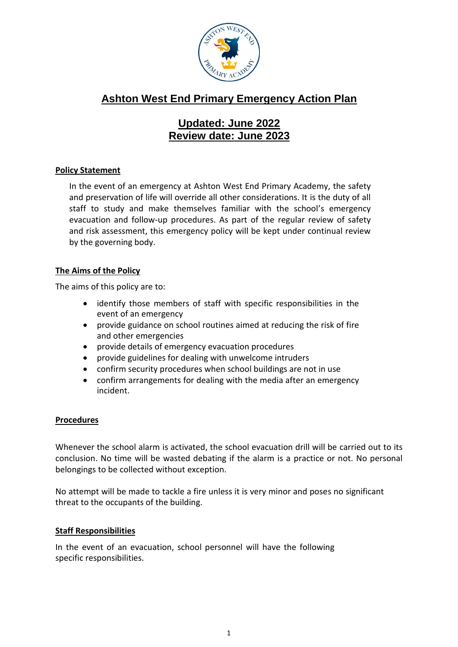

# **Ashton West End Primary Emergency Action Plan**

## **Updated: June 2022 Review date: June 2023**

## **Policy Statement**

In the event of an emergency at Ashton West End Primary Academy, the safety and preservation of life will override all other considerations. It is the duty of all staff to study and make themselves familiar with the school's emergency evacuation and follow-up procedures. As part of the regular review of safety and risk assessment, this emergency policy will be kept under continual review by the governing body.

## **The Aims of the Policy**

The aims of this policy are to:

- identify those members of staff with specific responsibilities in the event of an emergency
- provide guidance on school routines aimed at reducing the risk of fire and other emergencies
- provide details of emergency evacuation procedures
- provide guidelines for dealing with unwelcome intruders
- confirm security procedures when school buildings are not in use
- confirm arrangements for dealing with the media after an emergency incident.

## **Procedures**

Whenever the school alarm is activated, the school evacuation drill will be carried out to its conclusion. No time will be wasted debating if the alarm is a practice or not. No personal belongings to be collected without exception.

No attempt will be made to tackle a fire unless it is very minor and poses no significant threat to the occupants of the building.

## **Staff Responsibilities**

In the event of an evacuation, school personnel will have the following specific responsibilities.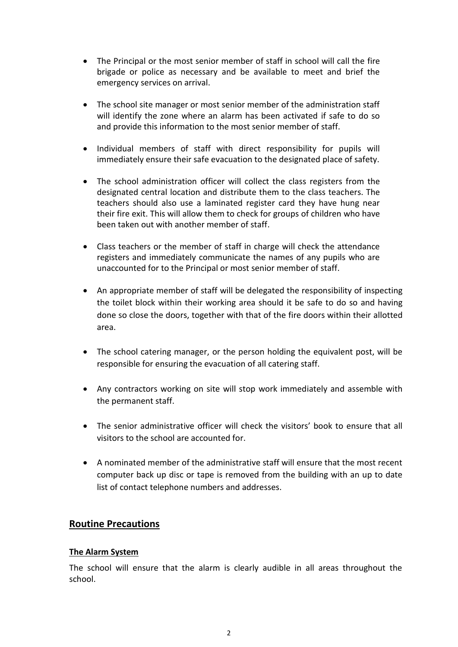- The Principal or the most senior member of staff in school will call the fire brigade or police as necessary and be available to meet and brief the emergency services on arrival.
- The school site manager or most senior member of the administration staff will identify the zone where an alarm has been activated if safe to do so and provide this information to the most senior member of staff.
- Individual members of staff with direct responsibility for pupils will immediately ensure their safe evacuation to the designated place of safety.
- The school administration officer will collect the class registers from the designated central location and distribute them to the class teachers. The teachers should also use a laminated register card they have hung near their fire exit. This will allow them to check for groups of children who have been taken out with another member of staff.
- Class teachers or the member of staff in charge will check the attendance registers and immediately communicate the names of any pupils who are unaccounted for to the Principal or most senior member of staff.
- An appropriate member of staff will be delegated the responsibility of inspecting the toilet block within their working area should it be safe to do so and having done so close the doors, together with that of the fire doors within their allotted area.
- The school catering manager, or the person holding the equivalent post, will be responsible for ensuring the evacuation of all catering staff.
- Any contractors working on site will stop work immediately and assemble with the permanent staff.
- The senior administrative officer will check the visitors' book to ensure that all visitors to the school are accounted for.
- A nominated member of the administrative staff will ensure that the most recent computer back up disc or tape is removed from the building with an up to date list of contact telephone numbers and addresses.

## **Routine Precautions**

## **The Alarm System**

The school will ensure that the alarm is clearly audible in all areas throughout the school.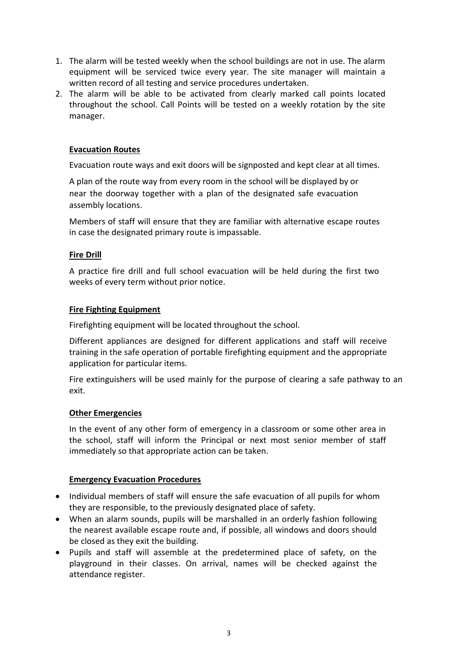- 1. The alarm will be tested weekly when the school buildings are not in use. The alarm equipment will be serviced twice every year. The site manager will maintain a written record of all testing and service procedures undertaken.
- 2. The alarm will be able to be activated from clearly marked call points located throughout the school. Call Points will be tested on a weekly rotation by the site manager.

#### **Evacuation Routes**

Evacuation route ways and exit doors will be signposted and kept clear at all times.

A plan of the route way from every room in the school will be displayed by or near the doorway together with a plan of the designated safe evacuation assembly locations.

Members of staff will ensure that they are familiar with alternative escape routes in case the designated primary route is impassable.

#### **Fire Drill**

A practice fire drill and full school evacuation will be held during the first two weeks of every term without prior notice.

#### **Fire Fighting Equipment**

Firefighting equipment will be located throughout the school.

Different appliances are designed for different applications and staff will receive training in the safe operation of portable firefighting equipment and the appropriate application for particular items.

Fire extinguishers will be used mainly for the purpose of clearing a safe pathway to an exit.

#### **Other Emergencies**

In the event of any other form of emergency in a classroom or some other area in the school, staff will inform the Principal or next most senior member of staff immediately so that appropriate action can be taken.

#### **Emergency Evacuation Procedures**

- Individual members of staff will ensure the safe evacuation of all pupils for whom they are responsible, to the previously designated place of safety.
- When an alarm sounds, pupils will be marshalled in an orderly fashion following the nearest available escape route and, if possible, all windows and doors should be closed as they exit the building.
- Pupils and staff will assemble at the predetermined place of safety, on the playground in their classes. On arrival, names will be checked against the attendance register.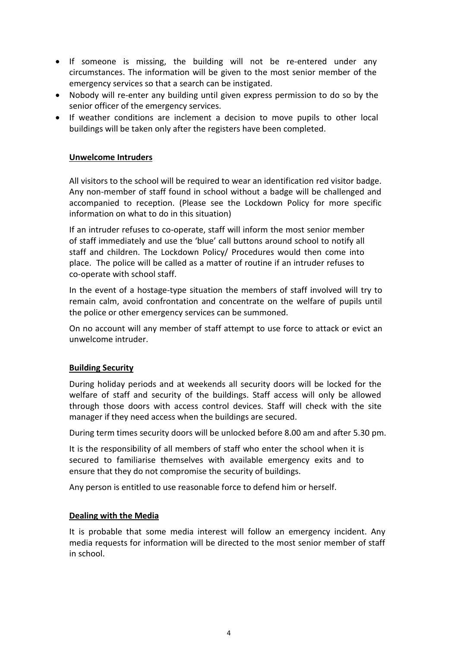- If someone is missing, the building will not be re-entered under any circumstances. The information will be given to the most senior member of the emergency services so that a search can be instigated.
- Nobody will re-enter any building until given express permission to do so by the senior officer of the emergency services.
- If weather conditions are inclement a decision to move pupils to other local buildings will be taken only after the registers have been completed.

#### **Unwelcome Intruders**

All visitors to the school will be required to wear an identification red visitor badge. Any non-member of staff found in school without a badge will be challenged and accompanied to reception. (Please see the Lockdown Policy for more specific information on what to do in this situation)

If an intruder refuses to co-operate, staff will inform the most senior member of staff immediately and use the 'blue' call buttons around school to notify all staff and children. The Lockdown Policy/ Procedures would then come into place. The police will be called as a matter of routine if an intruder refuses to co-operate with school staff.

In the event of a hostage-type situation the members of staff involved will try to remain calm, avoid confrontation and concentrate on the welfare of pupils until the police or other emergency services can be summoned.

On no account will any member of staff attempt to use force to attack or evict an unwelcome intruder.

#### **Building Security**

During holiday periods and at weekends all security doors will be locked for the welfare of staff and security of the buildings. Staff access will only be allowed through those doors with access control devices. Staff will check with the site manager if they need access when the buildings are secured.

During term times security doors will be unlocked before 8.00 am and after 5.30 pm.

It is the responsibility of all members of staff who enter the school when it is secured to familiarise themselves with available emergency exits and to ensure that they do not compromise the security of buildings.

Any person is entitled to use reasonable force to defend him or herself.

#### **Dealing with the Media**

It is probable that some media interest will follow an emergency incident. Any media requests for information will be directed to the most senior member of staff in school.